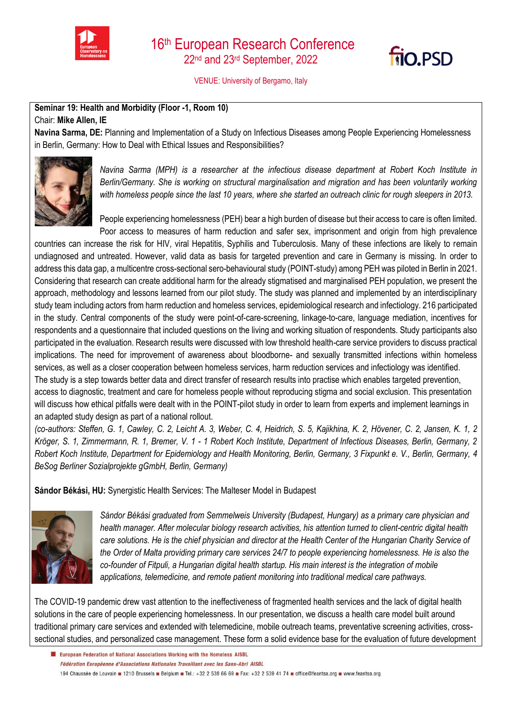



VENUE: University of Bergamo, Italy

## **Seminar 19: Health and Morbidity (Floor -1, Room 10)**  Chair: **Mike Allen, IE**

**Navina Sarma, DE:** Planning and Implementation of a Study on Infectious Diseases among People Experiencing Homelessness in Berlin, Germany: How to Deal with Ethical Issues and Responsibilities?



*Navina Sarma (MPH) is a researcher at the infectious disease department at Robert Koch Institute in Berlin/Germany. She is working on structural marginalisation and migration and has been voluntarily working with homeless people since the last 10 years, where she started an outreach clinic for rough sleepers in 2013.*

People experiencing homelessness (PEH) bear a high burden of disease but their access to care is often limited. Poor access to measures of harm reduction and safer sex, imprisonment and origin from high prevalence

countries can increase the risk for HIV, viral Hepatitis, Syphilis and Tuberculosis. Many of these infections are likely to remain undiagnosed and untreated. However, valid data as basis for targeted prevention and care in Germany is missing. In order to address this data gap, a multicentre cross-sectional sero-behavioural study (POINT-study) among PEH was piloted in Berlin in 2021. Considering that research can create additional harm for the already stigmatised and marginalised PEH population, we present the approach, methodology and lessons learned from our pilot study. The study was planned and implemented by an interdisciplinary study team including actors from harm reduction and homeless services, epidemiological research and infectiology. 216 participated in the study. Central components of the study were point-of-care-screening, linkage-to-care, language mediation, incentives for respondents and a questionnaire that included questions on the living and working situation of respondents. Study participants also participated in the evaluation. Research results were discussed with low threshold health-care service providers to discuss practical implications. The need for improvement of awareness about bloodborne- and sexually transmitted infections within homeless services, as well as a closer cooperation between homeless services, harm reduction services and infectiology was identified. The study is a step towards better data and direct transfer of research results into practise which enables targeted prevention, access to diagnostic, treatment and care for homeless people without reproducing stigma and social exclusion. This presentation will discuss how ethical pitfalls were dealt with in the POINT-pilot study in order to learn from experts and implement learnings in an adapted study design as part of a national rollout.

*(co-authors: Steffen, G. 1, Cawley, C. 2, Leicht A. 3, Weber, C. 4, Heidrich, S. 5, Kajikhina, K. 2, Hövener, C. 2, Jansen, K. 1, 2 Kröger, S. 1, Zimmermann, R. 1, Bremer, V. 1 - 1 Robert Koch Institute, Department of Infectious Diseases, Berlin, Germany, 2 Robert Koch Institute, Department for Epidemiology and Health Monitoring, Berlin, Germany, 3 Fixpunkt e. V., Berlin, Germany, 4 BeSog Berliner Sozialprojekte gGmbH, Berlin, Germany)*

**Sándor Békási, HU:** Synergistic Health Services: The Malteser Model in Budapest



*Sándor Békási graduated from Semmelweis University (Budapest, Hungary) as a primary care physician and health manager. After molecular biology research activities, his attention turned to client-centric digital health care solutions. He is the chief physician and director at the Health Center of the Hungarian Charity Service of the Order of Malta providing primary care services 24/7 to people experiencing homelessness. He is also the co-founder of Fitpuli, a Hungarian digital health startup. His main interest is the integration of mobile applications, telemedicine, and remote patient monitoring into traditional medical care pathways.*

The COVID-19 pandemic drew vast attention to the ineffectiveness of fragmented health services and the lack of digital health solutions in the care of people experiencing homelessness. In our presentation, we discuss a health care model built around traditional primary care services and extended with telemedicine, mobile outreach teams, preventative screening activities, crosssectional studies, and personalized case management. These form a solid evidence base for the evaluation of future development